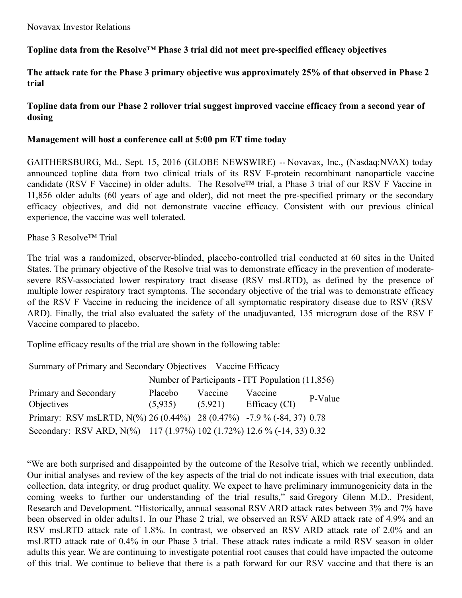# **Topline data from the Resolve™ Phase 3 trial did not meet pre-specified efficacy objectives**

## The attack rate for the Phase 3 primary objective was approximately 25% of that observed in Phase 2 **trial**

# **Topline data from our Phase 2 rollover trial suggest improved vaccine efficacy from a second year of dosing**

### **Management will host a conference call at 5:00 pm ET time today**

GAITHERSBURG, Md., Sept. 15, 2016 (GLOBE NEWSWIRE) -- Novavax, Inc., (Nasdaq:NVAX) today announced topline data from two clinical trials of its RSV F-protein recombinant nanoparticle vaccine candidate (RSV F Vaccine) in older adults. The Resolve™ trial, a Phase 3 trial of our RSV F Vaccine in 11,856 older adults (60 years of age and older), did not meet the pre-specified primary or the secondary efficacy objectives, and did not demonstrate vaccine efficacy. Consistent with our previous clinical experience, the vaccine was well tolerated.

Phase 3 Resolve™ Trial

The trial was a randomized, observer-blinded, placebo-controlled trial conducted at 60 sites in the United States. The primary objective of the Resolve trial was to demonstrate efficacy in the prevention of moderatesevere RSV-associated lower respiratory tract disease (RSV msLRTD), as defined by the presence of multiple lower respiratory tract symptoms. The secondary objective of the trial was to demonstrate efficacy of the RSV F Vaccine in reducing the incidence of all symptomatic respiratory disease due to RSV (RSV ARD). Finally, the trial also evaluated the safety of the unadjuvanted, 135 microgram dose of the RSV F Vaccine compared to placebo.

Topline efficacy results of the trial are shown in the following table:

Summary of Primary and Secondary Objectives – Vaccine Efficacy

|                                                                        | Number of Participants - ITT Population (11,856) |         |               |         |  |  |
|------------------------------------------------------------------------|--------------------------------------------------|---------|---------------|---------|--|--|
| Primary and Secondary                                                  | Placebo                                          | Vaccine | Vaccine       | P-Value |  |  |
| <b>Objectives</b>                                                      | (5,935)                                          | (5,921) | Efficacy (CI) |         |  |  |
| Primary: RSV msLRTD, N(%) 26 (0.44%) 28 (0.47%) -7.9 % (-84, 37) 0.78  |                                                  |         |               |         |  |  |
| Secondary: RSV ARD, N(%) 117 (1.97%) 102 (1.72%) 12.6 % (-14, 33) 0.32 |                                                  |         |               |         |  |  |

"We are both surprised and disappointed by the outcome of the Resolve trial, which we recently unblinded. Our initial analyses and review of the key aspects of the trial do not indicate issues with trial execution, data collection, data integrity, or drug product quality. We expect to have preliminary immunogenicity data in the coming weeks to further our understanding of the trial results," said Gregory Glenn M.D., President, Research and Development. "Historically, annual seasonal RSV ARD attack rates between 3% and 7% have been observed in older adults1. In our Phase 2 trial, we observed an RSV ARD attack rate of 4.9% and an RSV msLRTD attack rate of 1.8%. In contrast, we observed an RSV ARD attack rate of 2.0% and an msLRTD attack rate of 0.4% in our Phase 3 trial. These attack rates indicate a mild RSV season in older adults this year. We are continuing to investigate potential root causes that could have impacted the outcome of this trial. We continue to believe that there is a path forward for our RSV vaccine and that there is an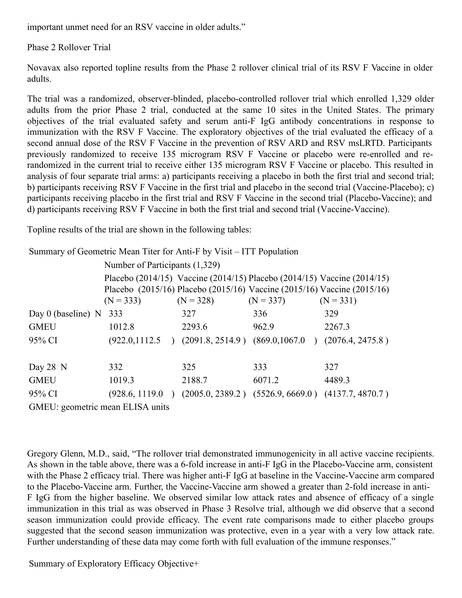important unmet need for an RSV vaccine in older adults."

Phase 2 Rollover Trial

Novavax also reported topline results from the Phase 2 rollover clinical trial of its RSV F Vaccine in older adults.

The trial was a randomized, observer-blinded, placebo-controlled rollover trial which enrolled 1,329 older adults from the prior Phase 2 trial, conducted at the same 10 sites in the United States. The primary objectives of the trial evaluated safety and serum anti-F IgG antibody concentrations in response to immunization with the RSV F Vaccine. The exploratory objectives of the trial evaluated the efficacy of a second annual dose of the RSV F Vaccine in the prevention of RSV ARD and RSV msLRTD. Participants previously randomized to receive 135 microgram RSV F Vaccine or placebo were re-enrolled and rerandomized in the current trial to receive either 135 microgram RSV F Vaccine or placebo. This resulted in analysis of four separate trial arms: a) participants receiving a placebo in both the first trial and second trial; b) participants receiving RSV F Vaccine in the first trial and placebo in the second trial (Vaccine-Placebo); c) participants receiving placebo in the first trial and RSV F Vaccine in the second trial (Placebo-Vaccine); and d) participants receiving RSV F Vaccine in both the first trial and second trial (Vaccine-Vaccine).

Topline results of the trial are shown in the following tables:

| Summary of Geometric Mean Titer for Anti-F by Visit – ITT Population |                                |             |                                                                                                                                                                   |                  |  |  |  |  |
|----------------------------------------------------------------------|--------------------------------|-------------|-------------------------------------------------------------------------------------------------------------------------------------------------------------------|------------------|--|--|--|--|
|                                                                      | Number of Participants (1,329) |             |                                                                                                                                                                   |                  |  |  |  |  |
|                                                                      | $(N = 333)$                    | $(N = 328)$ | Placebo (2014/15) Vaccine (2014/15) Placebo (2014/15) Vaccine (2014/15)<br>Placebo (2015/16) Placebo (2015/16) Vaccine (2015/16) Vaccine (2015/16)<br>$(N = 337)$ | $(N = 331)$      |  |  |  |  |
| Day 0 (baseline) $N$                                                 | 333                            | 327         | 336                                                                                                                                                               | 329              |  |  |  |  |
| <b>GMEU</b>                                                          | 1012.8                         | 2293.6      | 962.9                                                                                                                                                             | 2267.3           |  |  |  |  |
| 95% CI                                                               |                                |             | $(922.0, 1112.5)$ $(2091.8, 2514.9)$ $(869.0, 1067.0)$                                                                                                            | (2076.4, 2475.8) |  |  |  |  |
| Day $28$ N                                                           | 332                            | 325         | 333                                                                                                                                                               | 327              |  |  |  |  |
| <b>GMEU</b>                                                          | 1019.3                         | 2188.7      | 6071.2                                                                                                                                                            | 4489.3           |  |  |  |  |
| 95% CI                                                               | (928.6, 1119.0)                |             | $(2005.0, 2389.2)$ $(5526.9, 6669.0)$ $(4137.7, 4870.7)$                                                                                                          |                  |  |  |  |  |
| GMEU: geometric mean ELISA units                                     |                                |             |                                                                                                                                                                   |                  |  |  |  |  |

Gregory Glenn, M.D., said, "The rollover trial demonstrated immunogenicity in all active vaccine recipients. As shown in the table above, there was a 6-fold increase in anti-F IgG in the Placebo-Vaccine arm, consistent with the Phase 2 efficacy trial. There was higher anti-F IgG at baseline in the Vaccine-Vaccine arm compared to the Placebo-Vaccine arm. Further, the Vaccine-Vaccine arm showed a greater than 2-fold increase in anti-F IgG from the higher baseline. We observed similar low attack rates and absence of efficacy of a single immunization in this trial as was observed in Phase 3 Resolve trial, although we did observe that a second season immunization could provide efficacy. The event rate comparisons made to either placebo groups suggested that the second season immunization was protective, even in a year with a very low attack rate. Further understanding of these data may come forth with full evaluation of the immune responses."

Summary of Exploratory Efficacy Objective+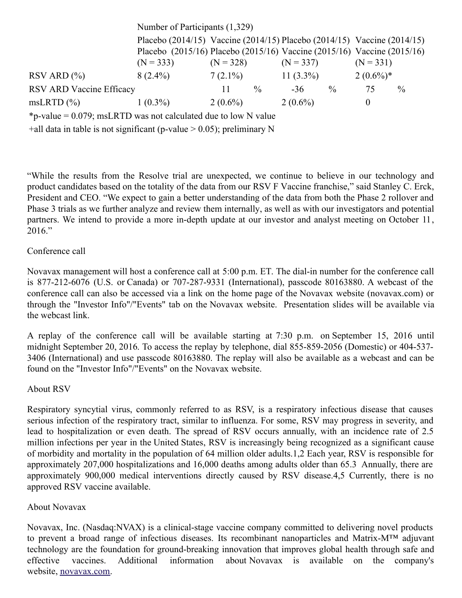|                          | Number of Participants (1,329)                                          |             |               |              |               |                                                                         |               |
|--------------------------|-------------------------------------------------------------------------|-------------|---------------|--------------|---------------|-------------------------------------------------------------------------|---------------|
|                          |                                                                         |             |               |              |               | Placebo (2014/15) Vaccine (2014/15) Placebo (2014/15) Vaccine (2014/15) |               |
|                          | Placebo (2015/16) Placebo (2015/16) Vaccine (2015/16) Vaccine (2015/16) |             |               |              |               |                                                                         |               |
|                          | $(N = 333)$                                                             | $(N = 328)$ |               | $(N = 337)$  |               | $(N = 331)$                                                             |               |
| $RSV$ ARD $(\% )$        | $8(2.4\%)$                                                              | $7(2.1\%)$  |               | 11 $(3.3\%)$ |               | $2(0.6\%)*$                                                             |               |
| RSV ARD Vaccine Efficacy |                                                                         | $\perp$     | $\frac{0}{0}$ | $-36$        | $\frac{0}{0}$ | 75                                                                      | $\frac{0}{0}$ |
| $msLRTD$ $(\%)$          | $1(0.3\%)$                                                              | $2(0.6\%)$  |               | $2(0.6\%)$   |               | $\theta$                                                                |               |
|                          |                                                                         |             |               |              |               |                                                                         |               |

\*p-value = 0.079; msLRTD was not calculated due to low N value

+all data in table is not significant (p-value  $> 0.05$ ); preliminary N

"While the results from the Resolve trial are unexpected, we continue to believe in our technology and product candidates based on the totality of the data from our RSV F Vaccine franchise," said Stanley C. Erck, President and CEO. "We expect to gain a better understanding of the data from both the Phase 2 rollover and Phase 3 trials as we further analyze and review them internally, as well as with our investigators and potential partners. We intend to provide a more in-depth update at our investor and analyst meeting on October 11, 2016."

#### Conference call

Novavax management will host a conference call at 5:00 p.m. ET. The dial-in number for the conference call is 877-212-6076 (U.S. or Canada) or 707-287-9331 (International), passcode 80163880. A webcast of the conference call can also be accessed via a link on the home page of the Novavax website (novavax.com) or through the "Investor Info"/"Events" tab on the Novavax website. Presentation slides will be available via the webcast link.

A replay of the conference call will be available starting at 7:30 p.m. on September 15, 2016 until midnight September 20, 2016. To access the replay by telephone, dial 855-859-2056 (Domestic) or 404-537- 3406 (International) and use passcode 80163880. The replay will also be available as a webcast and can be found on the "Investor Info"/"Events" on the Novavax website.

#### About RSV

Respiratory syncytial virus, commonly referred to as RSV, is a respiratory infectious disease that causes serious infection of the respiratory tract, similar to influenza. For some, RSV may progress in severity, and lead to hospitalization or even death. The spread of RSV occurs annually, with an incidence rate of 2.5 million infections per year in the United States, RSV is increasingly being recognized as a significant cause of morbidity and mortality in the population of 64 million older adults.1,2 Each year, RSV is responsible for approximately 207,000 hospitalizations and 16,000 deaths among adults older than 65.3 Annually, there are approximately 900,000 medical interventions directly caused by RSV disease.4,5 Currently, there is no approved RSV vaccine available.

## About Novavax

Novavax, Inc. (Nasdaq:NVAX) is a clinical-stage vaccine company committed to delivering novel products to prevent a broad range of infectious diseases. Its recombinant nanoparticles and Matrix-M™ adjuvant technology are the foundation for ground-breaking innovation that improves global health through safe and effective vaccines. Additional information about Novavax is available on the company's website, [novavax.com](https://www.globenewswire.com/Tracker?data=L6iokwJJp27HZFv9g5WE-_yH_CtPDXNDENp-NAEeWsS7FdNc0xnslT4_l3uQmD3YnI9f9lH6Q2n99DUcuSvmOw==).